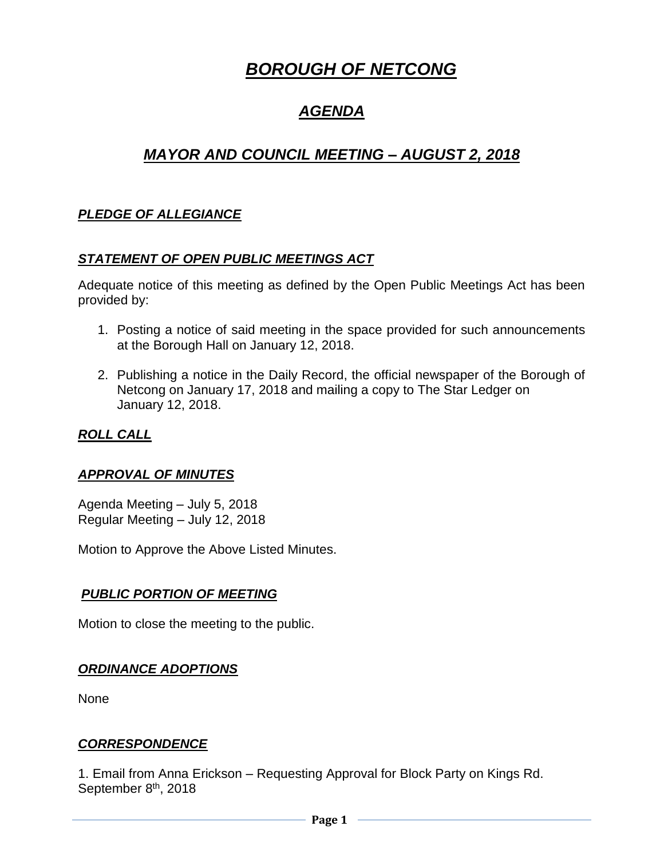# *BOROUGH OF NETCONG*

## *AGENDA*

## *MAYOR AND COUNCIL MEETING – AUGUST 2, 2018*

## *PLEDGE OF ALLEGIANCE*

## *STATEMENT OF OPEN PUBLIC MEETINGS ACT*

Adequate notice of this meeting as defined by the Open Public Meetings Act has been provided by:

- 1. Posting a notice of said meeting in the space provided for such announcements at the Borough Hall on January 12, 2018.
- 2. Publishing a notice in the Daily Record, the official newspaper of the Borough of Netcong on January 17, 2018 and mailing a copy to The Star Ledger on January 12, 2018.

## *ROLL CALL*

## *APPROVAL OF MINUTES*

Agenda Meeting – July 5, 2018 Regular Meeting – July 12, 2018

Motion to Approve the Above Listed Minutes.

## *PUBLIC PORTION OF MEETING*

Motion to close the meeting to the public.

## *ORDINANCE ADOPTIONS*

None

## *CORRESPONDENCE*

1. Email from Anna Erickson – Requesting Approval for Block Party on Kings Rd. September 8<sup>th</sup>, 2018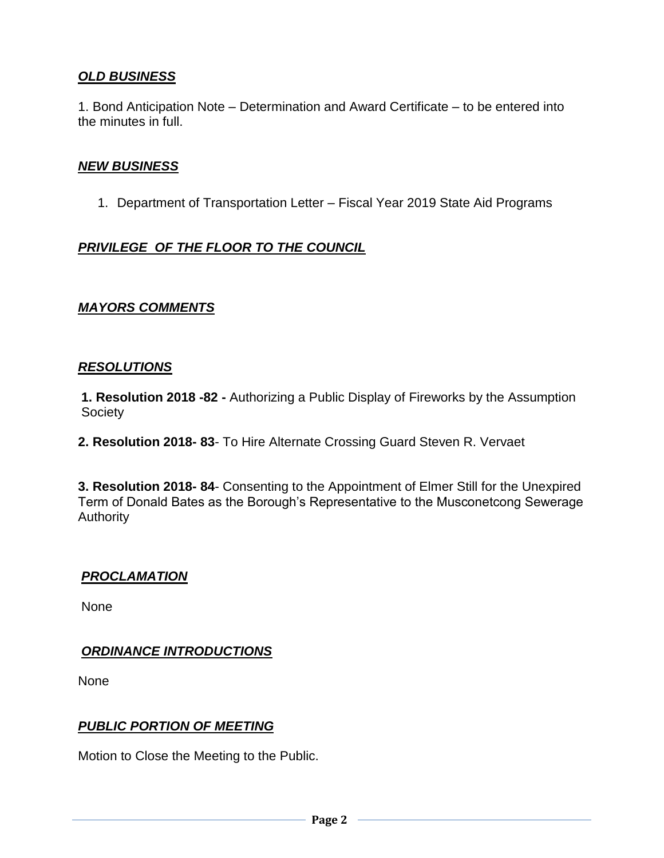## *OLD BUSINESS*

1. Bond Anticipation Note – Determination and Award Certificate – to be entered into the minutes in full.

#### *NEW BUSINESS*

1. Department of Transportation Letter – Fiscal Year 2019 State Aid Programs

## *PRIVILEGE OF THE FLOOR TO THE COUNCIL*

#### *MAYORS COMMENTS*

#### *RESOLUTIONS*

**1. Resolution 2018 -82 -** Authorizing a Public Display of Fireworks by the Assumption **Society** 

**2. Resolution 2018- 83**- To Hire Alternate Crossing Guard Steven R. Vervaet

**3. Resolution 2018- 84**- Consenting to the Appointment of Elmer Still for the Unexpired Term of Donald Bates as the Borough's Representative to the Musconetcong Sewerage **Authority** 

## *PROCLAMATION*

None

## *ORDINANCE INTRODUCTIONS*

None

## *PUBLIC PORTION OF MEETING*

Motion to Close the Meeting to the Public.